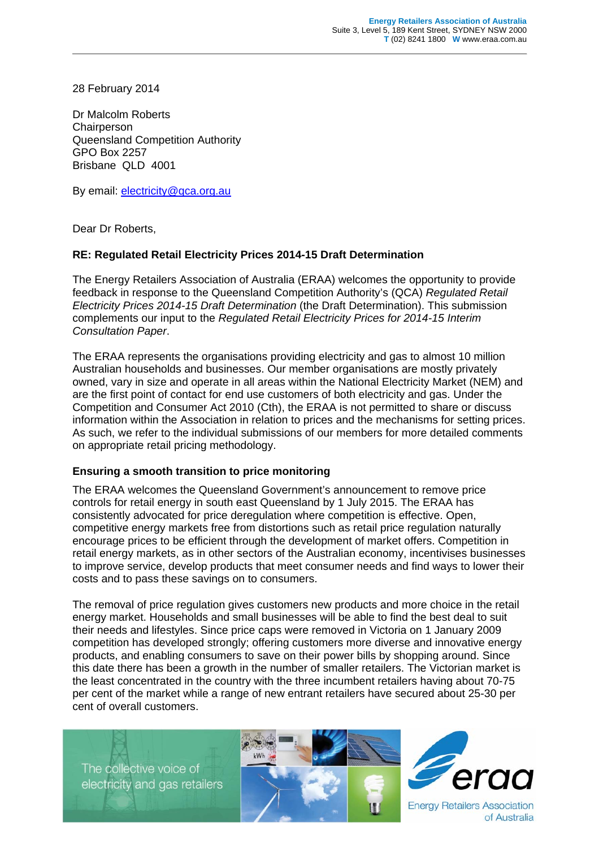28 February 2014

Dr Malcolm Roberts **Chairperson** Queensland Competition Authority GPO Box 2257 Brisbane QLD 4001

By email: electricity@qca.org.au

Dear Dr Roberts,

#### **RE: Regulated Retail Electricity Prices 2014-15 Draft Determination**

The Energy Retailers Association of Australia (ERAA) welcomes the opportunity to provide feedback in response to the Queensland Competition Authority's (QCA) *Regulated Retail Electricity Prices 2014-15 Draft Determination* (the Draft Determination). This submission complements our input to the *Regulated Retail Electricity Prices for 2014-15 Interim Consultation Paper*.

The ERAA represents the organisations providing electricity and gas to almost 10 million Australian households and businesses. Our member organisations are mostly privately owned, vary in size and operate in all areas within the National Electricity Market (NEM) and are the first point of contact for end use customers of both electricity and gas. Under the Competition and Consumer Act 2010 (Cth), the ERAA is not permitted to share or discuss information within the Association in relation to prices and the mechanisms for setting prices. As such, we refer to the individual submissions of our members for more detailed comments on appropriate retail pricing methodology.

#### **Ensuring a smooth transition to price monitoring**

The ERAA welcomes the Queensland Government's announcement to remove price controls for retail energy in south east Queensland by 1 July 2015. The ERAA has consistently advocated for price deregulation where competition is effective. Open, competitive energy markets free from distortions such as retail price regulation naturally encourage prices to be efficient through the development of market offers. Competition in retail energy markets, as in other sectors of the Australian economy, incentivises businesses to improve service, develop products that meet consumer needs and find ways to lower their costs and to pass these savings on to consumers.

The removal of price regulation gives customers new products and more choice in the retail energy market. Households and small businesses will be able to find the best deal to suit their needs and lifestyles. Since price caps were removed in Victoria on 1 January 2009 competition has developed strongly; offering customers more diverse and innovative energy products, and enabling consumers to save on their power bills by shopping around. Since this date there has been a growth in the number of smaller retailers. The Victorian market is the least concentrated in the country with the three incumbent retailers having about 70-75 per cent of the market while a range of new entrant retailers have secured about 25-30 per cent of overall customers.

The collective voice of electricity and gas retailers



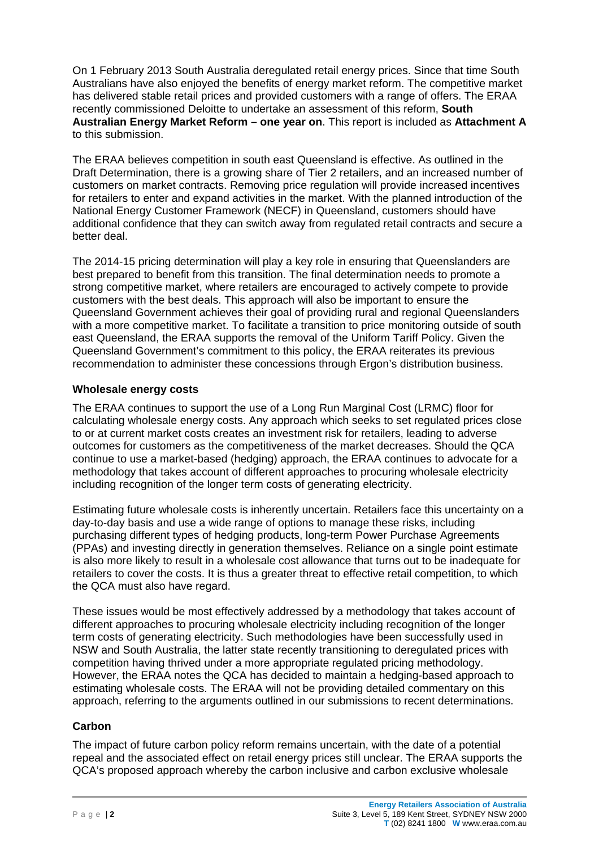On 1 February 2013 South Australia deregulated retail energy prices. Since that time South Australians have also enjoyed the benefits of energy market reform. The competitive market has delivered stable retail prices and provided customers with a range of offers. The ERAA recently commissioned Deloitte to undertake an assessment of this reform, **South Australian Energy Market Reform – one year on**. This report is included as **Attachment A** to this submission.

The ERAA believes competition in south east Queensland is effective. As outlined in the Draft Determination, there is a growing share of Tier 2 retailers, and an increased number of customers on market contracts. Removing price regulation will provide increased incentives for retailers to enter and expand activities in the market. With the planned introduction of the National Energy Customer Framework (NECF) in Queensland, customers should have additional confidence that they can switch away from regulated retail contracts and secure a better deal.

The 2014-15 pricing determination will play a key role in ensuring that Queenslanders are best prepared to benefit from this transition. The final determination needs to promote a strong competitive market, where retailers are encouraged to actively compete to provide customers with the best deals. This approach will also be important to ensure the Queensland Government achieves their goal of providing rural and regional Queenslanders with a more competitive market. To facilitate a transition to price monitoring outside of south east Queensland, the ERAA supports the removal of the Uniform Tariff Policy. Given the Queensland Government's commitment to this policy, the ERAA reiterates its previous recommendation to administer these concessions through Ergon's distribution business.

# **Wholesale energy costs**

The ERAA continues to support the use of a Long Run Marginal Cost (LRMC) floor for calculating wholesale energy costs. Any approach which seeks to set regulated prices close to or at current market costs creates an investment risk for retailers, leading to adverse outcomes for customers as the competitiveness of the market decreases. Should the QCA continue to use a market-based (hedging) approach, the ERAA continues to advocate for a methodology that takes account of different approaches to procuring wholesale electricity including recognition of the longer term costs of generating electricity.

Estimating future wholesale costs is inherently uncertain. Retailers face this uncertainty on a day-to-day basis and use a wide range of options to manage these risks, including purchasing different types of hedging products, long-term Power Purchase Agreements (PPAs) and investing directly in generation themselves. Reliance on a single point estimate is also more likely to result in a wholesale cost allowance that turns out to be inadequate for retailers to cover the costs. It is thus a greater threat to effective retail competition, to which the QCA must also have regard.

These issues would be most effectively addressed by a methodology that takes account of different approaches to procuring wholesale electricity including recognition of the longer term costs of generating electricity. Such methodologies have been successfully used in NSW and South Australia, the latter state recently transitioning to deregulated prices with competition having thrived under a more appropriate regulated pricing methodology. However, the ERAA notes the QCA has decided to maintain a hedging-based approach to estimating wholesale costs. The ERAA will not be providing detailed commentary on this approach, referring to the arguments outlined in our submissions to recent determinations.

# **Carbon**

The impact of future carbon policy reform remains uncertain, with the date of a potential repeal and the associated effect on retail energy prices still unclear. The ERAA supports the QCA's proposed approach whereby the carbon inclusive and carbon exclusive wholesale